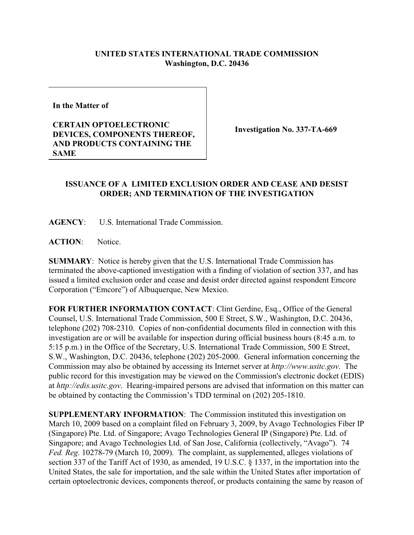## **UNITED STATES INTERNATIONAL TRADE COMMISSION Washington, D.C. 20436**

**In the Matter of** 

## **CERTAIN OPTOELECTRONIC DEVICES, COMPONENTS THEREOF, AND PRODUCTS CONTAINING THE SAME**

**Investigation No. 337-TA-669**

## **ISSUANCE OF A LIMITED EXCLUSION ORDER AND CEASE AND DESIST ORDER; AND TERMINATION OF THE INVESTIGATION**

**AGENCY**: U.S. International Trade Commission.

**ACTION**: Notice.

**SUMMARY**: Notice is hereby given that the U.S. International Trade Commission has terminated the above-captioned investigation with a finding of violation of section 337, and has issued a limited exclusion order and cease and desist order directed against respondent Emcore Corporation ("Emcore") of Albuquerque, New Mexico.

**FOR FURTHER INFORMATION CONTACT**: Clint Gerdine, Esq., Office of the General Counsel, U.S. International Trade Commission, 500 E Street, S.W., Washington, D.C. 20436, telephone (202) 708-2310. Copies of non-confidential documents filed in connection with this investigation are or will be available for inspection during official business hours (8:45 a.m. to 5:15 p.m.) in the Office of the Secretary, U.S. International Trade Commission, 500 E Street, S.W., Washington, D.C. 20436, telephone (202) 205-2000. General information concerning the Commission may also be obtained by accessing its Internet server at *http://www.usitc.gov*. The public record for this investigation may be viewed on the Commission's electronic docket (EDIS) at *http://edis.usitc.gov*. Hearing-impaired persons are advised that information on this matter can be obtained by contacting the Commission's TDD terminal on (202) 205-1810.

**SUPPLEMENTARY INFORMATION**: The Commission instituted this investigation on March 10, 2009 based on a complaint filed on February 3, 2009, by Avago Technologies Fiber IP (Singapore) Pte. Ltd. of Singapore; Avago Technologies General IP (Singapore) Pte. Ltd. of Singapore; and Avago Technologies Ltd. of San Jose, California (collectively, "Avago"). 74 *Fed. Reg*. 10278-79 (March 10, 2009). The complaint, as supplemented, alleges violations of section 337 of the Tariff Act of 1930, as amended, 19 U.S.C. § 1337, in the importation into the United States, the sale for importation, and the sale within the United States after importation of certain optoelectronic devices, components thereof, or products containing the same by reason of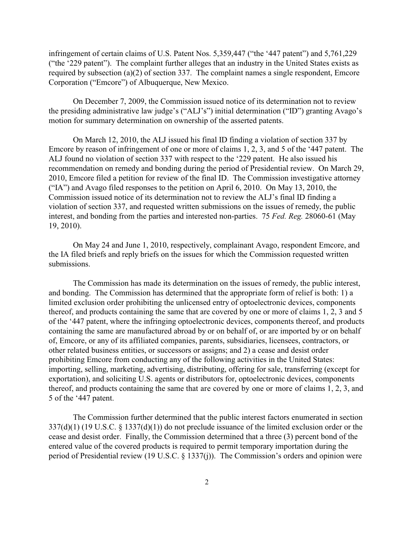infringement of certain claims of U.S. Patent Nos. 5,359,447 ("the '447 patent") and 5,761,229 ("the '229 patent"). The complaint further alleges that an industry in the United States exists as required by subsection (a)(2) of section 337. The complaint names a single respondent, Emcore Corporation ("Emcore") of Albuquerque, New Mexico.

 On December 7, 2009, the Commission issued notice of its determination not to review the presiding administrative law judge's ("ALJ's") initial determination ("ID") granting Avago's motion for summary determination on ownership of the asserted patents.

On March 12, 2010, the ALJ issued his final ID finding a violation of section 337 by Emcore by reason of infringement of one or more of claims 1, 2, 3, and 5 of the '447 patent. The ALJ found no violation of section 337 with respect to the '229 patent. He also issued his recommendation on remedy and bonding during the period of Presidential review. On March 29, 2010, Emcore filed a petition for review of the final ID. The Commission investigative attorney ("IA") and Avago filed responses to the petition on April 6, 2010. On May 13, 2010, the Commission issued notice of its determination not to review the ALJ's final ID finding a violation of section 337, and requested written submissions on the issues of remedy, the public interest, and bonding from the parties and interested non-parties. 75 *Fed. Reg.* 28060-61 (May 19, 2010).

On May 24 and June 1, 2010, respectively, complainant Avago, respondent Emcore, and the IA filed briefs and reply briefs on the issues for which the Commission requested written submissions.

The Commission has made its determination on the issues of remedy, the public interest, and bonding. The Commission has determined that the appropriate form of relief is both: 1) a limited exclusion order prohibiting the unlicensed entry of optoelectronic devices, components thereof, and products containing the same that are covered by one or more of claims 1, 2, 3 and 5 of the '447 patent, where the infringing optoelectronic devices, components thereof, and products containing the same are manufactured abroad by or on behalf of, or are imported by or on behalf of, Emcore, or any of its affiliated companies, parents, subsidiaries, licensees, contractors, or other related business entities, or successors or assigns; and 2) a cease and desist order prohibiting Emcore from conducting any of the following activities in the United States: importing, selling, marketing, advertising, distributing, offering for sale, transferring (except for exportation), and soliciting U.S. agents or distributors for, optoelectronic devices, components thereof, and products containing the same that are covered by one or more of claims 1, 2, 3, and 5 of the '447 patent.

The Commission further determined that the public interest factors enumerated in section 337(d)(1) (19 U.S.C. § 1337(d)(1)) do not preclude issuance of the limited exclusion order or the cease and desist order. Finally, the Commission determined that a three (3) percent bond of the entered value of the covered products is required to permit temporary importation during the period of Presidential review (19 U.S.C. § 1337(j)). The Commission's orders and opinion were